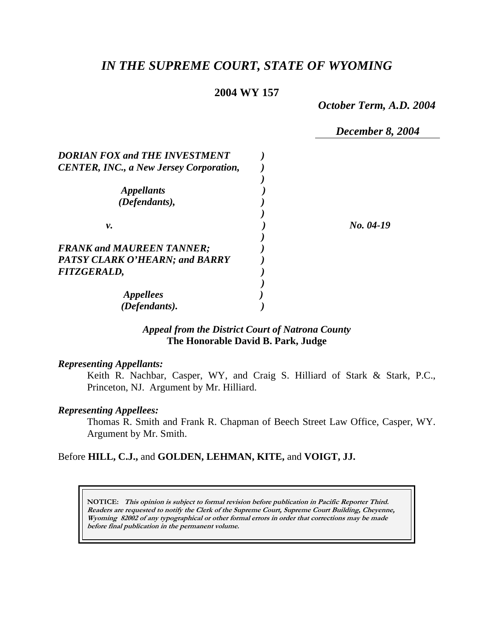# *IN THE SUPREME COURT, STATE OF WYOMING*

#### **2004 WY 157**

*October Term, A.D. 2004* 

*December 8, 2004* 

| <b>DORIAN FOX and THE INVESTMENT</b>           |           |
|------------------------------------------------|-----------|
| <b>CENTER, INC., a New Jersey Corporation,</b> |           |
|                                                |           |
| <i>Appellants</i>                              |           |
| (Defendants),                                  |           |
|                                                |           |
| ν.                                             | No. 04-19 |
|                                                |           |
| <b>FRANK and MAUREEN TANNER;</b>               |           |
| <b>PATSY CLARK O'HEARN; and BARRY</b>          |           |
| <b>FITZGERALD,</b>                             |           |
|                                                |           |
| <i><b>Appellees</b></i>                        |           |
| (Defendants).                                  |           |

# *Appeal from the District Court of Natrona County* **The Honorable David B. Park, Judge**

#### *Representing Appellants:*

Keith R. Nachbar, Casper, WY, and Craig S. Hilliard of Stark & Stark, P.C., Princeton, NJ. Argument by Mr. Hilliard.

#### *Representing Appellees:*

Thomas R. Smith and Frank R. Chapman of Beech Street Law Office, Casper, WY. Argument by Mr. Smith.

## Before **HILL, C.J.,** and **GOLDEN, LEHMAN, KITE,** and **VOIGT, JJ.**

**NOTICE: This opinion is subject to formal revision before publication in Pacific Reporter Third. Readers are requested to notify the Clerk of the Supreme Court, Supreme Court Building, Cheyenne, Wyoming 82002 of any typographical or other formal errors in order that corrections may be made before final publication in the permanent volume.**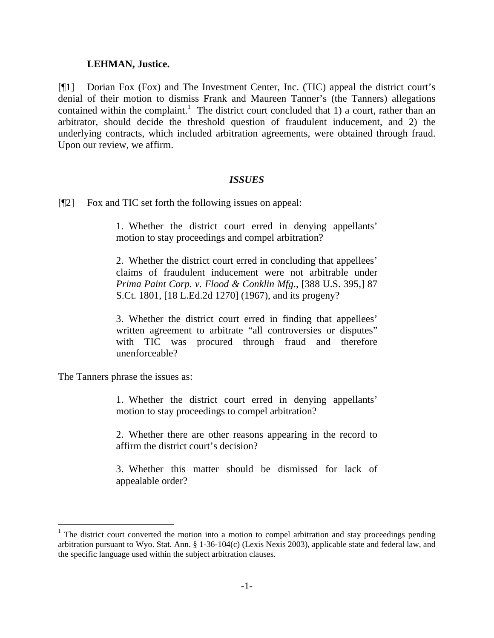#### **LEHMAN, Justice.**

[¶1] Dorian Fox (Fox) and The Investment Center, Inc. (TIC) appeal the district court's denial of their motion to dismiss Frank and Maureen Tanner's (the Tanners) allegations contained within the complaint.<sup>1</sup> The district court concluded that 1) a court, rather than an arbitrator, should decide the threshold question of fraudulent inducement, and 2) the underlying contracts, which included arbitration agreements, were obtained through fraud. Upon our review, we affirm.

#### *ISSUES*

[¶2] Fox and TIC set forth the following issues on appeal:

1. Whether the district court erred in denying appellants' motion to stay proceedings and compel arbitration?

2. Whether the district court erred in concluding that appellees' claims of fraudulent inducement were not arbitrable under *Prima Paint Corp. v. Flood & Conklin Mfg*., [388 U.S. 395,] 87 S.Ct. 1801, [18 L.Ed.2d 1270] (1967), and its progeny?

3. Whether the district court erred in finding that appellees' written agreement to arbitrate "all controversies or disputes" with TIC was procured through fraud and therefore unenforceable?

The Tanners phrase the issues as:

 $\overline{a}$ 

1. Whether the district court erred in denying appellants' motion to stay proceedings to compel arbitration?

2. Whether there are other reasons appearing in the record to affirm the district court's decision?

3. Whether this matter should be dismissed for lack of appealable order?

 $1$  The district court converted the motion into a motion to compel arbitration and stay proceedings pending arbitration pursuant to Wyo. Stat. Ann. § 1-36-104(c) (Lexis Nexis 2003), applicable state and federal law, and the specific language used within the subject arbitration clauses.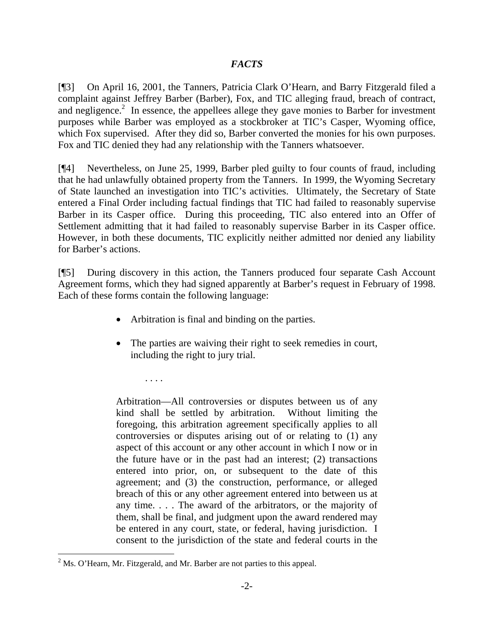# *FACTS*

[¶3] On April 16, 2001, the Tanners, Patricia Clark O'Hearn, and Barry Fitzgerald filed a complaint against Jeffrey Barber (Barber), Fox, and TIC alleging fraud, breach of contract, and negligence.<sup>2</sup> In essence, the appellees allege they gave monies to Barber for investment purposes while Barber was employed as a stockbroker at TIC's Casper, Wyoming office, which Fox supervised. After they did so, Barber converted the monies for his own purposes. Fox and TIC denied they had any relationship with the Tanners whatsoever.

[¶4] Nevertheless, on June 25, 1999, Barber pled guilty to four counts of fraud, including that he had unlawfully obtained property from the Tanners. In 1999, the Wyoming Secretary of State launched an investigation into TIC's activities. Ultimately, the Secretary of State entered a Final Order including factual findings that TIC had failed to reasonably supervise Barber in its Casper office. During this proceeding, TIC also entered into an Offer of Settlement admitting that it had failed to reasonably supervise Barber in its Casper office. However, in both these documents, TIC explicitly neither admitted nor denied any liability for Barber's actions.

[¶5] During discovery in this action, the Tanners produced four separate Cash Account Agreement forms, which they had signed apparently at Barber's request in February of 1998. Each of these forms contain the following language:

- Arbitration is final and binding on the parties.
- The parties are waiving their right to seek remedies in court, including the right to jury trial.

Arbitration—All controversies or disputes between us of any kind shall be settled by arbitration. Without limiting the foregoing, this arbitration agreement specifically applies to all controversies or disputes arising out of or relating to (1) any aspect of this account or any other account in which I now or in the future have or in the past had an interest;  $(2)$  transactions entered into prior, on, or subsequent to the date of this agreement; and (3) the construction, performance, or alleged breach of this or any other agreement entered into between us at any time. . . . The award of the arbitrators, or the majority of them, shall be final, and judgment upon the award rendered may be entered in any court, state, or federal, having jurisdiction. I consent to the jurisdiction of the state and federal courts in the

. . . .

 $\overline{a}$ 

 $2^2$  Ms. O'Hearn, Mr. Fitzgerald, and Mr. Barber are not parties to this appeal.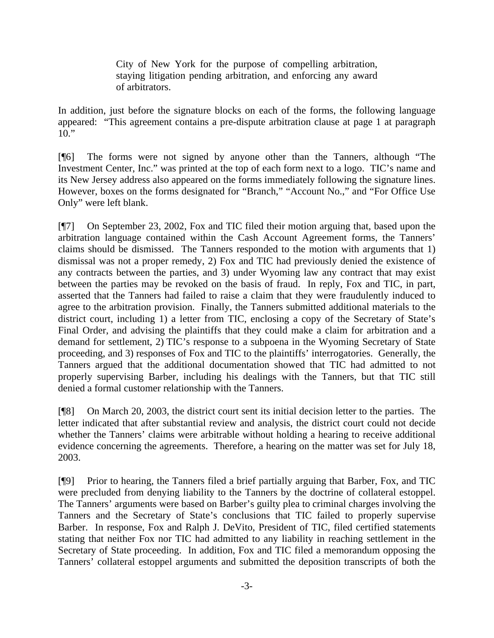City of New York for the purpose of compelling arbitration, staying litigation pending arbitration, and enforcing any award of arbitrators.

In addition, just before the signature blocks on each of the forms, the following language appeared: "This agreement contains a pre-dispute arbitration clause at page 1 at paragraph  $10.$ "

[¶6] The forms were not signed by anyone other than the Tanners, although "The Investment Center, Inc." was printed at the top of each form next to a logo. TIC's name and its New Jersey address also appeared on the forms immediately following the signature lines. However, boxes on the forms designated for "Branch," "Account No.," and "For Office Use Only" were left blank.

[¶7] On September 23, 2002, Fox and TIC filed their motion arguing that, based upon the arbitration language contained within the Cash Account Agreement forms, the Tanners' claims should be dismissed. The Tanners responded to the motion with arguments that 1) dismissal was not a proper remedy, 2) Fox and TIC had previously denied the existence of any contracts between the parties, and 3) under Wyoming law any contract that may exist between the parties may be revoked on the basis of fraud. In reply, Fox and TIC, in part, asserted that the Tanners had failed to raise a claim that they were fraudulently induced to agree to the arbitration provision. Finally, the Tanners submitted additional materials to the district court, including 1) a letter from TIC, enclosing a copy of the Secretary of State's Final Order, and advising the plaintiffs that they could make a claim for arbitration and a demand for settlement, 2) TIC's response to a subpoena in the Wyoming Secretary of State proceeding, and 3) responses of Fox and TIC to the plaintiffs' interrogatories. Generally, the Tanners argued that the additional documentation showed that TIC had admitted to not properly supervising Barber, including his dealings with the Tanners, but that TIC still denied a formal customer relationship with the Tanners.

[¶8] On March 20, 2003, the district court sent its initial decision letter to the parties. The letter indicated that after substantial review and analysis, the district court could not decide whether the Tanners' claims were arbitrable without holding a hearing to receive additional evidence concerning the agreements. Therefore, a hearing on the matter was set for July 18, 2003.

[¶9] Prior to hearing, the Tanners filed a brief partially arguing that Barber, Fox, and TIC were precluded from denying liability to the Tanners by the doctrine of collateral estoppel. The Tanners' arguments were based on Barber's guilty plea to criminal charges involving the Tanners and the Secretary of State's conclusions that TIC failed to properly supervise Barber. In response, Fox and Ralph J. DeVito, President of TIC, filed certified statements stating that neither Fox nor TIC had admitted to any liability in reaching settlement in the Secretary of State proceeding. In addition, Fox and TIC filed a memorandum opposing the Tanners' collateral estoppel arguments and submitted the deposition transcripts of both the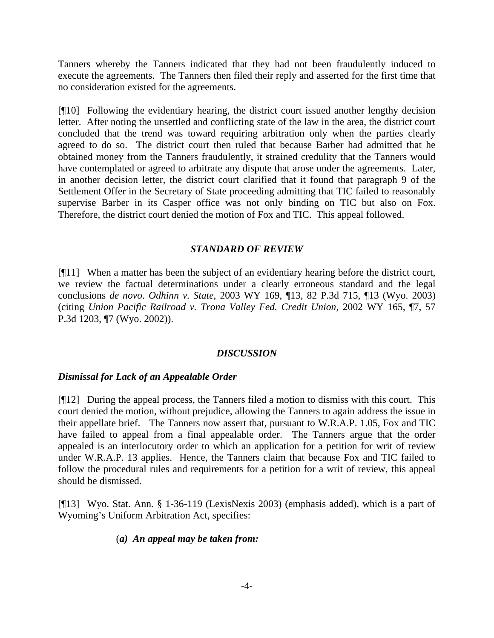Tanners whereby the Tanners indicated that they had not been fraudulently induced to execute the agreements. The Tanners then filed their reply and asserted for the first time that no consideration existed for the agreements.

[¶10] Following the evidentiary hearing, the district court issued another lengthy decision letter. After noting the unsettled and conflicting state of the law in the area, the district court concluded that the trend was toward requiring arbitration only when the parties clearly agreed to do so. The district court then ruled that because Barber had admitted that he obtained money from the Tanners fraudulently, it strained credulity that the Tanners would have contemplated or agreed to arbitrate any dispute that arose under the agreements. Later, in another decision letter, the district court clarified that it found that paragraph 9 of the Settlement Offer in the Secretary of State proceeding admitting that TIC failed to reasonably supervise Barber in its Casper office was not only binding on TIC but also on Fox. Therefore, the district court denied the motion of Fox and TIC. This appeal followed.

## *STANDARD OF REVIEW*

[¶11] When a matter has been the subject of an evidentiary hearing before the district court, we review the factual determinations under a clearly erroneous standard and the legal conclusions *de novo*. *Odhinn v. State*, 2003 WY 169, ¶13, 82 P.3d 715, ¶13 (Wyo. 2003) (citing *Union Pacific Railroad v. Trona Valley Fed. Credit Union*, 2002 WY 165, ¶7, 57 P.3d 1203, ¶7 (Wyo. 2002)).

# *DISCUSSION*

# *Dismissal for Lack of an Appealable Order*

[¶12] During the appeal process, the Tanners filed a motion to dismiss with this court. This court denied the motion, without prejudice, allowing the Tanners to again address the issue in their appellate brief. The Tanners now assert that, pursuant to W.R.A.P. 1.05, Fox and TIC have failed to appeal from a final appealable order. The Tanners argue that the order appealed is an interlocutory order to which an application for a petition for writ of review under W.R.A.P. 13 applies. Hence, the Tanners claim that because Fox and TIC failed to follow the procedural rules and requirements for a petition for a writ of review, this appeal should be dismissed.

[¶13] Wyo. Stat. Ann. § 1-36-119 (LexisNexis 2003) (emphasis added), which is a part of Wyoming's Uniform Arbitration Act, specifies:

#### (*a) An appeal may be taken from:*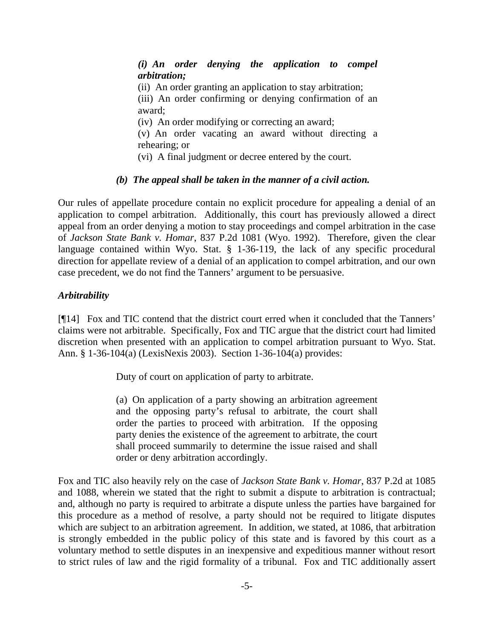*(i) An order denying the application to compel arbitration;*  (ii) An order granting an application to stay arbitration; (iii) An order confirming or denying confirmation of an award; (iv) An order modifying or correcting an award; (v) An order vacating an award without directing a rehearing; or (vi) A final judgment or decree entered by the court.

## *(b) The appeal shall be taken in the manner of a civil action.*

Our rules of appellate procedure contain no explicit procedure for appealing a denial of an application to compel arbitration. Additionally, this court has previously allowed a direct appeal from an order denying a motion to stay proceedings and compel arbitration in the case of *Jackson State Bank v. Homar*, 837 P.2d 1081 (Wyo. 1992). Therefore, given the clear language contained within Wyo. Stat. § 1-36-119, the lack of any specific procedural direction for appellate review of a denial of an application to compel arbitration, and our own case precedent, we do not find the Tanners' argument to be persuasive.

# *Arbitrability*

[¶14] Fox and TIC contend that the district court erred when it concluded that the Tanners' claims were not arbitrable. Specifically, Fox and TIC argue that the district court had limited discretion when presented with an application to compel arbitration pursuant to Wyo. Stat. Ann. § 1-36-104(a) (LexisNexis 2003). Section 1-36-104(a) provides:

Duty of court on application of party to arbitrate.

(a) On application of a party showing an arbitration agreement and the opposing party's refusal to arbitrate, the court shall order the parties to proceed with arbitration. If the opposing party denies the existence of the agreement to arbitrate, the court shall proceed summarily to determine the issue raised and shall order or deny arbitration accordingly.

Fox and TIC also heavily rely on the case of *Jackson State Bank v. Homar*, 837 P.2d at 1085 and 1088, wherein we stated that the right to submit a dispute to arbitration is contractual; and, although no party is required to arbitrate a dispute unless the parties have bargained for this procedure as a method of resolve, a party should not be required to litigate disputes which are subject to an arbitration agreement. In addition, we stated, at 1086, that arbitration is strongly embedded in the public policy of this state and is favored by this court as a voluntary method to settle disputes in an inexpensive and expeditious manner without resort to strict rules of law and the rigid formality of a tribunal. Fox and TIC additionally assert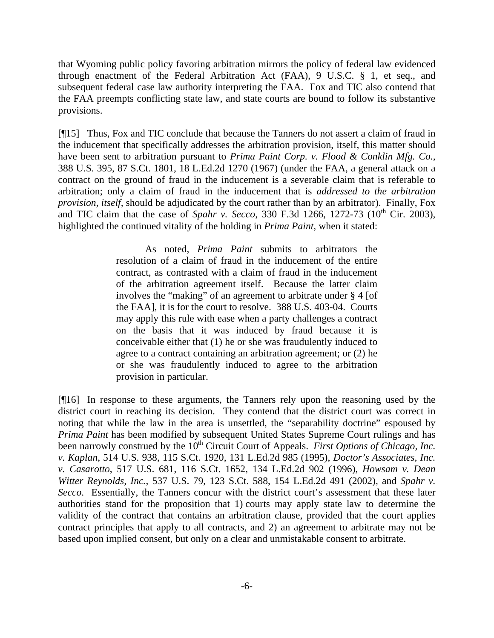that Wyoming public policy favoring arbitration mirrors the policy of federal law evidenced through enactment of the Federal Arbitration Act (FAA), 9 U.S.C. § 1, et seq., and subsequent federal case law authority interpreting the FAA. Fox and TIC also contend that the FAA preempts conflicting state law, and state courts are bound to follow its substantive provisions.

[¶15] Thus, Fox and TIC conclude that because the Tanners do not assert a claim of fraud in the inducement that specifically addresses the arbitration provision, itself, this matter should have been sent to arbitration pursuant to *Prima Paint Corp. v. Flood & Conklin Mfg. Co.*, 388 U.S. 395, 87 S.Ct. 1801, 18 L.Ed.2d 1270 (1967) (under the FAA, a general attack on a contract on the ground of fraud in the inducement is a severable claim that is referable to arbitration; only a claim of fraud in the inducement that is *addressed to the arbitration provision, itself,* should be adjudicated by the court rather than by an arbitrator). Finally, Fox and TIC claim that the case of *Spahr v. Secco*, 330 F.3d 1266, 1272-73 ( $10^{th}$  Cir. 2003), highlighted the continued vitality of the holding in *Prima Paint*, when it stated:

> As noted, *Prima Paint* submits to arbitrators the resolution of a claim of fraud in the inducement of the entire contract, as contrasted with a claim of fraud in the inducement of the arbitration agreement itself. Because the latter claim involves the "making" of an agreement to arbitrate under § 4 [of the FAA], it is for the court to resolve. 388 U.S. 403-04. Courts may apply this rule with ease when a party challenges a contract on the basis that it was induced by fraud because it is conceivable either that (1) he or she was fraudulently induced to agree to a contract containing an arbitration agreement; or (2) he or she was fraudulently induced to agree to the arbitration provision in particular.

[¶16] In response to these arguments, the Tanners rely upon the reasoning used by the district court in reaching its decision. They contend that the district court was correct in noting that while the law in the area is unsettled, the "separability doctrine" espoused by *Prima Paint* has been modified by subsequent United States Supreme Court rulings and has been narrowly construed by the 10<sup>th</sup> Circuit Court of Appeals. *First Options of Chicago, Inc. v. Kaplan*, 514 U.S. 938, 115 S.Ct. 1920, 131 L.Ed.2d 985 (1995), *Doctor's Associates, Inc. v. Casarotto*, 517 U.S. 681, 116 S.Ct. 1652, 134 L.Ed.2d 902 (1996), *Howsam v. Dean Witter Reynolds, Inc.*, 537 U.S. 79, 123 S.Ct. 588, 154 L.Ed.2d 491 (2002), and *Spahr v. Secco*. Essentially, the Tanners concur with the district court's assessment that these later authorities stand for the proposition that 1) courts may apply state law to determine the validity of the contract that contains an arbitration clause, provided that the court applies contract principles that apply to all contracts, and 2) an agreement to arbitrate may not be based upon implied consent, but only on a clear and unmistakable consent to arbitrate.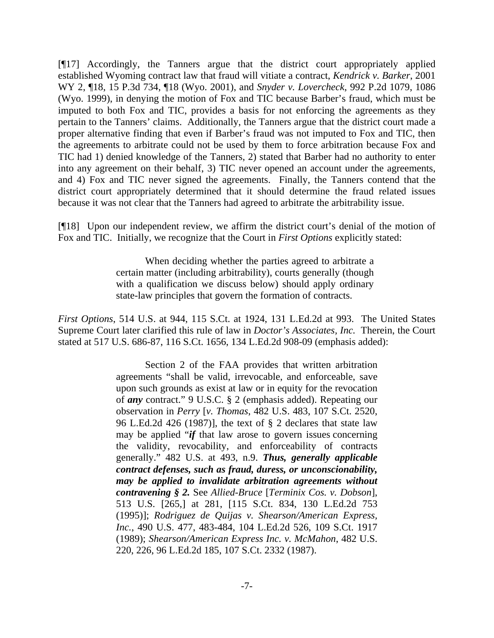[¶17] Accordingly, the Tanners argue that the district court appropriately applied established Wyoming contract law that fraud will vitiate a contract, *Kendrick v. Barker*, 2001 WY 2, ¶18, 15 P.3d 734, ¶18 (Wyo. 2001), and *Snyder v. Lovercheck*, 992 P.2d 1079, 1086 (Wyo. 1999), in denying the motion of Fox and TIC because Barber's fraud, which must be imputed to both Fox and TIC, provides a basis for not enforcing the agreements as they pertain to the Tanners' claims. Additionally, the Tanners argue that the district court made a proper alternative finding that even if Barber's fraud was not imputed to Fox and TIC, then the agreements to arbitrate could not be used by them to force arbitration because Fox and TIC had 1) denied knowledge of the Tanners, 2) stated that Barber had no authority to enter into any agreement on their behalf, 3) TIC never opened an account under the agreements, and 4) Fox and TIC never signed the agreements. Finally, the Tanners contend that the district court appropriately determined that it should determine the fraud related issues because it was not clear that the Tanners had agreed to arbitrate the arbitrability issue.

[¶18] Upon our independent review, we affirm the district court's denial of the motion of Fox and TIC. Initially, we recognize that the Court in *First Options* explicitly stated:

> When deciding whether the parties agreed to arbitrate a certain matter (including arbitrability), courts generally (though with a qualification we discuss below) should apply ordinary state-law principles that govern the formation of contracts.

*First Options*, 514 U.S. at 944, 115 S.Ct. at 1924, 131 L.Ed.2d at 993. The United States Supreme Court later clarified this rule of law in *Doctor's Associates, Inc.* Therein, the Court stated at 517 U.S. 686-87, 116 S.Ct. 1656, 134 L.Ed.2d 908-09 (emphasis added):

> Section 2 of the FAA provides that written arbitration agreements "shall be valid, irrevocable, and enforceable, save upon such grounds as exist at law or in equity for the revocation of *any* contract." 9 U.S.C. § 2 (emphasis added). Repeating our observation in *Perry* [*v. Thomas*, 482 U.S. 483, 107 S.Ct. 2520, 96 L.Ed.2d 426 (1987)], the text of § 2 declares that state law may be applied "*if* that law arose to govern issues concerning the validity, revocability, and enforceability of contracts generally." 482 U.S. at 493, n.9. *Thus, generally applicable contract defenses, such as fraud, duress, or unconscionability, may be applied to invalidate arbitration agreements without contravening § 2.* See *Allied-Bruce* [*Terminix Cos. v. Dobson*], 513 U.S. [265,] at 281, [115 S.Ct. 834, 130 L.Ed.2d 753 (1995)]; *Rodriguez de Quijas v. Shearson/American Express, Inc.*, 490 U.S. 477, 483-484, 104 L.Ed.2d 526, 109 S.Ct. 1917 (1989); *Shearson/American Express Inc. v. McMahon*, 482 U.S. 220, 226, 96 L.Ed.2d 185, 107 S.Ct. 2332 (1987).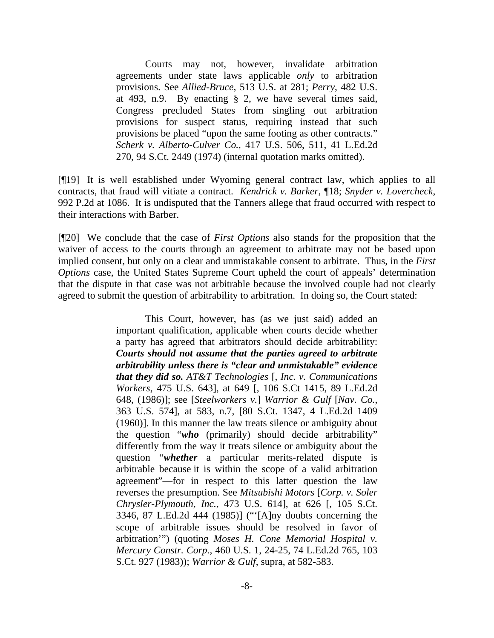Courts may not, however, invalidate arbitration agreements under state laws applicable *only* to arbitration provisions. See *Allied-Bruce*, 513 U.S. at 281; *Perry*, 482 U.S. at 493, n.9. By enacting § 2, we have several times said, Congress precluded States from singling out arbitration provisions for suspect status, requiring instead that such provisions be placed "upon the same footing as other contracts." *Scherk v. Alberto-Culver Co.*, 417 U.S. 506, 511, 41 L.Ed.2d 270, 94 S.Ct. 2449 (1974) (internal quotation marks omitted).

[¶19] It is well established under Wyoming general contract law, which applies to all contracts, that fraud will vitiate a contract. *Kendrick v. Barker*, ¶18; *Snyder v. Lovercheck*, 992 P.2d at 1086. It is undisputed that the Tanners allege that fraud occurred with respect to their interactions with Barber.

[¶20] We conclude that the case of *First Options* also stands for the proposition that the waiver of access to the courts through an agreement to arbitrate may not be based upon implied consent, but only on a clear and unmistakable consent to arbitrate. Thus, in the *First Options* case, the United States Supreme Court upheld the court of appeals' determination that the dispute in that case was not arbitrable because the involved couple had not clearly agreed to submit the question of arbitrability to arbitration. In doing so, the Court stated:

> This Court, however, has (as we just said) added an important qualification, applicable when courts decide whether a party has agreed that arbitrators should decide arbitrability: *Courts should not assume that the parties agreed to arbitrate arbitrability unless there is "clear and unmistakable" evidence that they did so. AT&T Technologies* [, *Inc. v. Communications Workers*, 475 U.S. 643], at 649 [, 106 S.Ct 1415, 89 L.Ed.2d 648, (1986)]; see [*Steelworkers v.*] *Warrior & Gulf* [*Nav. Co.*, 363 U.S. 574], at 583, n.7, [80 S.Ct. 1347, 4 L.Ed.2d 1409 (1960)]. In this manner the law treats silence or ambiguity about the question "*who* (primarily) should decide arbitrability" differently from the way it treats silence or ambiguity about the question "*whether* a particular merits-related dispute is arbitrable because it is within the scope of a valid arbitration agreement"—for in respect to this latter question the law reverses the presumption. See *Mitsubishi Motors* [*Corp. v. Soler Chrysler-Plymouth, Inc.*, 473 U.S. 614], at 626 [, 105 S.Ct. 3346, 87 L.Ed.2d 444 (1985)] ("'[A]ny doubts concerning the scope of arbitrable issues should be resolved in favor of arbitration'") (quoting *Moses H. Cone Memorial Hospital v. Mercury Constr. Corp.*, 460 U.S. 1, 24-25, 74 L.Ed.2d 765, 103 S.Ct. 927 (1983)); *Warrior & Gulf*, supra, at 582-583.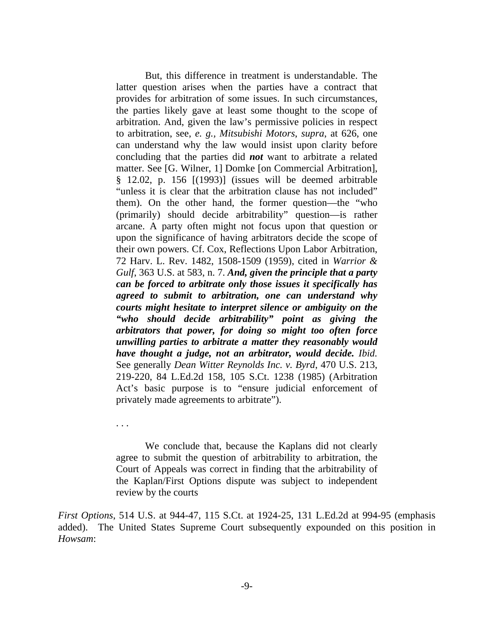But, this difference in treatment is understandable. The latter question arises when the parties have a contract that provides for arbitration of some issues. In such circumstances, the parties likely gave at least some thought to the scope of arbitration. And, given the law's permissive policies in respect to arbitration, see, *e. g., Mitsubishi Motors*, *supra*, at 626, one can understand why the law would insist upon clarity before concluding that the parties did *not* want to arbitrate a related matter. See [G. Wilner, 1] Domke [on Commercial Arbitration], § 12.02, p. 156 [(1993)] (issues will be deemed arbitrable "unless it is clear that the arbitration clause has not included" them). On the other hand, the former question—the "who (primarily) should decide arbitrability" question—is rather arcane. A party often might not focus upon that question or upon the significance of having arbitrators decide the scope of their own powers. Cf. Cox, Reflections Upon Labor Arbitration, 72 Harv. L. Rev. 1482, 1508-1509 (1959), cited in *Warrior & Gulf*, 363 U.S. at 583, n. 7. *And, given the principle that a party can be forced to arbitrate only those issues it specifically has agreed to submit to arbitration, one can understand why courts might hesitate to interpret silence or ambiguity on the "who should decide arbitrability" point as giving the arbitrators that power, for doing so might too often force unwilling parties to arbitrate a matter they reasonably would have thought a judge, not an arbitrator, would decide. Ibid.* See generally *Dean Witter Reynolds Inc. v. Byrd*, 470 U.S. 213, 219-220, 84 L.Ed.2d 158, 105 S.Ct. 1238 (1985) (Arbitration Act's basic purpose is to "ensure judicial enforcement of privately made agreements to arbitrate").

. . .

 We conclude that, because the Kaplans did not clearly agree to submit the question of arbitrability to arbitration, the Court of Appeals was correct in finding that the arbitrability of the Kaplan/First Options dispute was subject to independent review by the courts

*First Options*, 514 U.S. at 944-47, 115 S.Ct. at 1924-25, 131 L.Ed.2d at 994-95 (emphasis added). The United States Supreme Court subsequently expounded on this position in *Howsam*: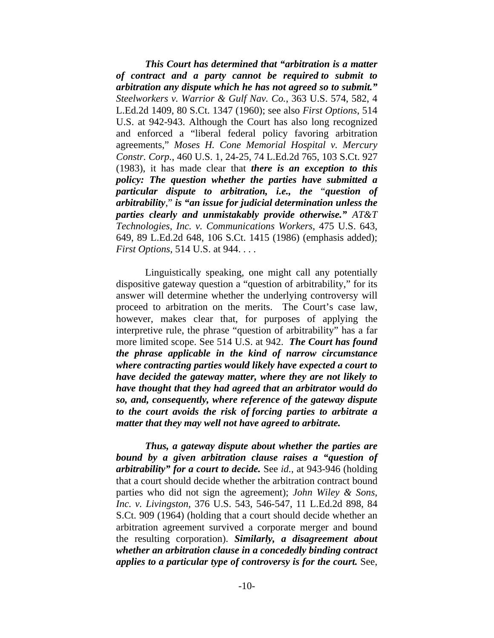*This Court has determined that "arbitration is a matter of contract and a party cannot be required to submit to arbitration any dispute which he has not agreed so to submit." Steelworkers v. Warrior & Gulf Nav. Co.*, 363 U.S. 574, 582, 4 L.Ed.2d 1409, 80 S.Ct. 1347 (1960); see also *First Options*, 514 U.S. at 942-943. Although the Court has also long recognized and enforced a "liberal federal policy favoring arbitration agreements," *Moses H. Cone Memorial Hospital v. Mercury Constr. Corp.*, 460 U.S. 1, 24-25, 74 L.Ed.2d 765, 103 S.Ct. 927 (1983), it has made clear that *there is an exception to this policy: The question whether the parties have submitted a particular dispute to arbitration, i.e., the* "*question of arbitrability*," *is "an issue for judicial determination unless the parties clearly and unmistakably provide otherwise." AT&T Technologies, Inc. v. Communications Workers*, 475 U.S. 643, 649, 89 L.Ed.2d 648, 106 S.Ct. 1415 (1986) (emphasis added); *First Options*, 514 U.S. at 944. . . .

 Linguistically speaking, one might call any potentially dispositive gateway question a "question of arbitrability," for its answer will determine whether the underlying controversy will proceed to arbitration on the merits. The Court's case law, however, makes clear that, for purposes of applying the interpretive rule, the phrase "question of arbitrability" has a far more limited scope. See 514 U.S. at 942. *The Court has found the phrase applicable in the kind of narrow circumstance where contracting parties would likely have expected a court to have decided the gateway matter, where they are not likely to have thought that they had agreed that an arbitrator would do so, and, consequently, where reference of the gateway dispute to the court avoids the risk of forcing parties to arbitrate a matter that they may well not have agreed to arbitrate.* 

 *Thus, a gateway dispute about whether the parties are bound by a given arbitration clause raises a "question of arbitrability" for a court to decide.* See *id.*, at 943-946 (holding that a court should decide whether the arbitration contract bound parties who did not sign the agreement); *John Wiley & Sons, Inc. v. Livingston*, 376 U.S. 543, 546-547, 11 L.Ed.2d 898, 84 S.Ct. 909 (1964) (holding that a court should decide whether an arbitration agreement survived a corporate merger and bound the resulting corporation). *Similarly, a disagreement about whether an arbitration clause in a concededly binding contract applies to a particular type of controversy is for the court.* See,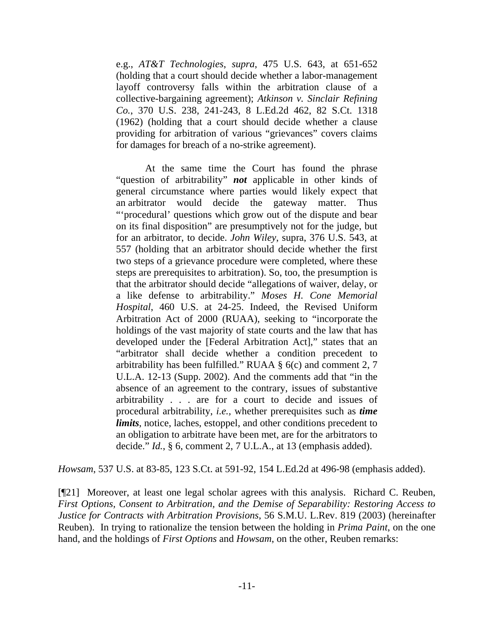e.g., *AT&T Technologies*, *supra*, 475 U.S. 643, at 651-652 (holding that a court should decide whether a labor-management layoff controversy falls within the arbitration clause of a collective-bargaining agreement); *Atkinson v. Sinclair Refining Co.*, 370 U.S. 238, 241-243, 8 L.Ed.2d 462, 82 S.Ct. 1318 (1962) (holding that a court should decide whether a clause providing for arbitration of various "grievances" covers claims for damages for breach of a no-strike agreement).

 At the same time the Court has found the phrase "question of arbitrability" *not* applicable in other kinds of general circumstance where parties would likely expect that an arbitrator would decide the gateway matter. Thus "'procedural' questions which grow out of the dispute and bear on its final disposition" are presumptively not for the judge, but for an arbitrator, to decide. *John Wiley*, supra, 376 U.S. 543, at 557 (holding that an arbitrator should decide whether the first two steps of a grievance procedure were completed, where these steps are prerequisites to arbitration). So, too, the presumption is that the arbitrator should decide "allegations of waiver, delay, or a like defense to arbitrability." *Moses H. Cone Memorial Hospital*, 460 U.S. at 24-25. Indeed, the Revised Uniform Arbitration Act of 2000 (RUAA), seeking to "incorporate the holdings of the vast majority of state courts and the law that has developed under the [Federal Arbitration Act]," states that an "arbitrator shall decide whether a condition precedent to arbitrability has been fulfilled." RUAA § 6(c) and comment 2, 7 U.L.A. 12-13 (Supp. 2002). And the comments add that "in the absence of an agreement to the contrary, issues of substantive arbitrability . . . are for a court to decide and issues of procedural arbitrability, *i.e.,* whether prerequisites such as *time limits*, notice, laches, estoppel, and other conditions precedent to an obligation to arbitrate have been met, are for the arbitrators to decide." *Id.*, § 6, comment 2, 7 U.L.A., at 13 (emphasis added).

*Howsam*, 537 U.S. at 83-85, 123 S.Ct. at 591-92, 154 L.Ed.2d at 496-98 (emphasis added).

[¶21] Moreover, at least one legal scholar agrees with this analysis. Richard C. Reuben, *First Options, Consent to Arbitration, and the Demise of Separability: Restoring Access to Justice for Contracts with Arbitration Provisions*, 56 S.M.U. L.Rev. 819 (2003) (hereinafter Reuben). In trying to rationalize the tension between the holding in *Prima Paint*, on the one hand, and the holdings of *First Options* and *Howsam*, on the other, Reuben remarks: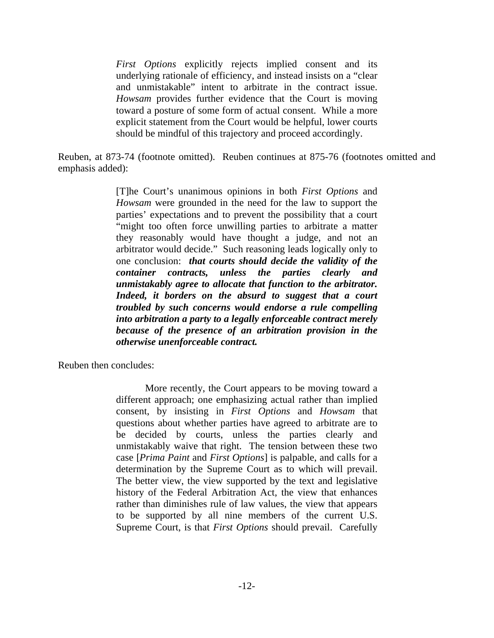*First Options* explicitly rejects implied consent and its underlying rationale of efficiency, and instead insists on a "clear and unmistakable" intent to arbitrate in the contract issue. *Howsam* provides further evidence that the Court is moving toward a posture of some form of actual consent. While a more explicit statement from the Court would be helpful, lower courts should be mindful of this trajectory and proceed accordingly.

Reuben, at 873-74 (footnote omitted). Reuben continues at 875-76 (footnotes omitted and emphasis added):

> [T]he Court's unanimous opinions in both *First Options* and *Howsam* were grounded in the need for the law to support the parties' expectations and to prevent the possibility that a court "might too often force unwilling parties to arbitrate a matter they reasonably would have thought a judge, and not an arbitrator would decide." Such reasoning leads logically only to one conclusion: *that courts should decide the validity of the container contracts, unless the parties clearly and unmistakably agree to allocate that function to the arbitrator. Indeed, it borders on the absurd to suggest that a court troubled by such concerns would endorse a rule compelling into arbitration a party to a legally enforceable contract merely because of the presence of an arbitration provision in the otherwise unenforceable contract.*

Reuben then concludes:

 More recently, the Court appears to be moving toward a different approach; one emphasizing actual rather than implied consent, by insisting in *First Options* and *Howsam* that questions about whether parties have agreed to arbitrate are to be decided by courts, unless the parties clearly and unmistakably waive that right. The tension between these two case [*Prima Paint* and *First Options*] is palpable, and calls for a determination by the Supreme Court as to which will prevail. The better view, the view supported by the text and legislative history of the Federal Arbitration Act, the view that enhances rather than diminishes rule of law values, the view that appears to be supported by all nine members of the current U.S. Supreme Court, is that *First Options* should prevail. Carefully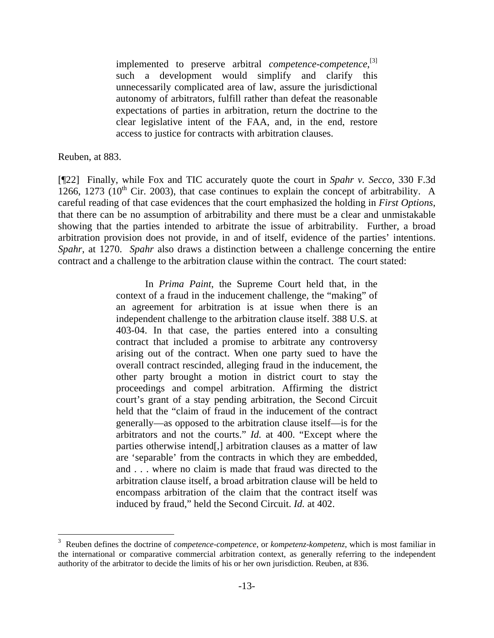implemented to preserve arbitral *competence-competence*,<sup>[3]</sup> such a development would simplify and clarify this unnecessarily complicated area of law, assure the jurisdictional autonomy of arbitrators, fulfill rather than defeat the reasonable expectations of parties in arbitration, return the doctrine to the clear legislative intent of the FAA, and, in the end, restore access to justice for contracts with arbitration clauses.

Reuben, at 883.

l

[¶22] Finally, while Fox and TIC accurately quote the court in *Spahr v. Secco*, 330 F.3d 1266, 1273 (10<sup>th</sup> Cir. 2003), that case continues to explain the concept of arbitrability. A careful reading of that case evidences that the court emphasized the holding in *First Options*, that there can be no assumption of arbitrability and there must be a clear and unmistakable showing that the parties intended to arbitrate the issue of arbitrability. Further, a broad arbitration provision does not provide, in and of itself, evidence of the parties' intentions. *Spahr*, at 1270. *Spahr* also draws a distinction between a challenge concerning the entire contract and a challenge to the arbitration clause within the contract. The court stated:

> In *Prima Paint*, the Supreme Court held that, in the context of a fraud in the inducement challenge, the "making" of an agreement for arbitration is at issue when there is an independent challenge to the arbitration clause itself. 388 U.S. at 403-04. In that case, the parties entered into a consulting contract that included a promise to arbitrate any controversy arising out of the contract. When one party sued to have the overall contract rescinded, alleging fraud in the inducement, the other party brought a motion in district court to stay the proceedings and compel arbitration. Affirming the district court's grant of a stay pending arbitration, the Second Circuit held that the "claim of fraud in the inducement of the contract generally—as opposed to the arbitration clause itself—is for the arbitrators and not the courts." *Id.* at 400. "Except where the parties otherwise intend[,] arbitration clauses as a matter of law are 'separable' from the contracts in which they are embedded, and . . . where no claim is made that fraud was directed to the arbitration clause itself, a broad arbitration clause will be held to encompass arbitration of the claim that the contract itself was induced by fraud," held the Second Circuit. *Id.* at 402.

<sup>3</sup> Reuben defines the doctrine of *competence-competence*, or *kompetenz-kompetenz*, which is most familiar in the international or comparative commercial arbitration context, as generally referring to the independent authority of the arbitrator to decide the limits of his or her own jurisdiction. Reuben, at 836.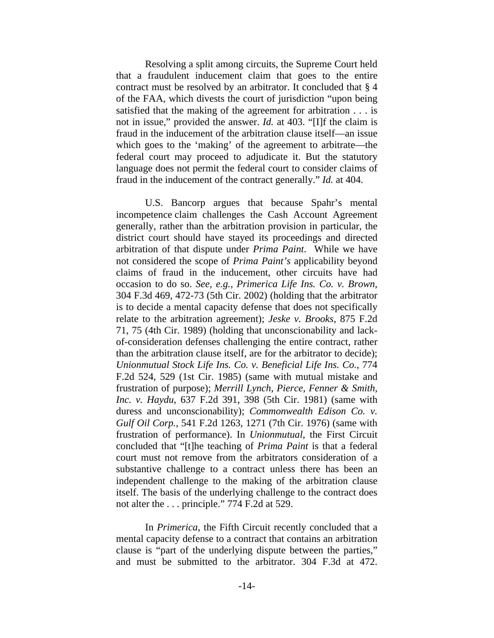Resolving a split among circuits, the Supreme Court held that a fraudulent inducement claim that goes to the entire contract must be resolved by an arbitrator. It concluded that § 4 of the FAA, which divests the court of jurisdiction "upon being satisfied that the making of the agreement for arbitration . . . is not in issue," provided the answer. *Id.* at 403. "[I]f the claim is fraud in the inducement of the arbitration clause itself—an issue which goes to the 'making' of the agreement to arbitrate—the federal court may proceed to adjudicate it. But the statutory language does not permit the federal court to consider claims of fraud in the inducement of the contract generally." *Id.* at 404.

 U.S. Bancorp argues that because Spahr's mental incompetence claim challenges the Cash Account Agreement generally, rather than the arbitration provision in particular, the district court should have stayed its proceedings and directed arbitration of that dispute under *Prima Paint*. While we have not considered the scope of *Prima Paint's* applicability beyond claims of fraud in the inducement, other circuits have had occasion to do so. *See, e.g., Primerica Life Ins. Co. v. Brown*, 304 F.3d 469, 472-73 (5th Cir. 2002) (holding that the arbitrator is to decide a mental capacity defense that does not specifically relate to the arbitration agreement); *Jeske v. Brooks*, 875 F.2d 71, 75 (4th Cir. 1989) (holding that unconscionability and lackof-consideration defenses challenging the entire contract, rather than the arbitration clause itself, are for the arbitrator to decide); *Unionmutual Stock Life Ins. Co. v. Beneficial Life Ins. Co.*, 774 F.2d 524, 529 (1st Cir. 1985) (same with mutual mistake and frustration of purpose); *Merrill Lynch, Pierce, Fenner & Smith, Inc. v. Haydu*, 637 F.2d 391, 398 (5th Cir. 1981) (same with duress and unconscionability); *Commonwealth Edison Co. v. Gulf Oil Corp.*, 541 F.2d 1263, 1271 (7th Cir. 1976) (same with frustration of performance). In *Unionmutual*, the First Circuit concluded that "[t]he teaching of *Prima Paint* is that a federal court must not remove from the arbitrators consideration of a substantive challenge to a contract unless there has been an independent challenge to the making of the arbitration clause itself. The basis of the underlying challenge to the contract does not alter the . . . principle." 774 F.2d at 529.

 In *Primerica*, the Fifth Circuit recently concluded that a mental capacity defense to a contract that contains an arbitration clause is "part of the underlying dispute between the parties," and must be submitted to the arbitrator. 304 F.3d at 472.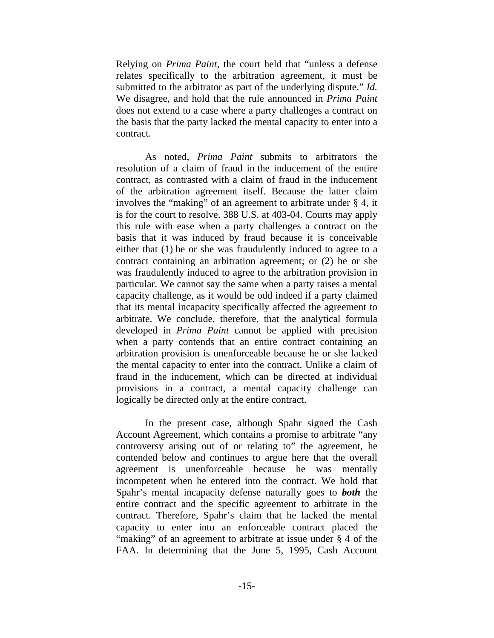Relying on *Prima Paint*, the court held that "unless a defense relates specifically to the arbitration agreement, it must be submitted to the arbitrator as part of the underlying dispute." *Id.* We disagree, and hold that the rule announced in *Prima Paint* does not extend to a case where a party challenges a contract on the basis that the party lacked the mental capacity to enter into a contract.

 As noted, *Prima Paint* submits to arbitrators the resolution of a claim of fraud in the inducement of the entire contract, as contrasted with a claim of fraud in the inducement of the arbitration agreement itself. Because the latter claim involves the "making" of an agreement to arbitrate under § 4, it is for the court to resolve. 388 U.S. at 403-04. Courts may apply this rule with ease when a party challenges a contract on the basis that it was induced by fraud because it is conceivable either that (1) he or she was fraudulently induced to agree to a contract containing an arbitration agreement; or (2) he or she was fraudulently induced to agree to the arbitration provision in particular. We cannot say the same when a party raises a mental capacity challenge, as it would be odd indeed if a party claimed that its mental incapacity specifically affected the agreement to arbitrate. We conclude, therefore, that the analytical formula developed in *Prima Paint* cannot be applied with precision when a party contends that an entire contract containing an arbitration provision is unenforceable because he or she lacked the mental capacity to enter into the contract. Unlike a claim of fraud in the inducement, which can be directed at individual provisions in a contract, a mental capacity challenge can logically be directed only at the entire contract.

 In the present case, although Spahr signed the Cash Account Agreement, which contains a promise to arbitrate "any controversy arising out of or relating to" the agreement, he contended below and continues to argue here that the overall agreement is unenforceable because he was mentally incompetent when he entered into the contract. We hold that Spahr's mental incapacity defense naturally goes to *both* the entire contract and the specific agreement to arbitrate in the contract. Therefore, Spahr's claim that he lacked the mental capacity to enter into an enforceable contract placed the "making" of an agreement to arbitrate at issue under § 4 of the FAA. In determining that the June 5, 1995, Cash Account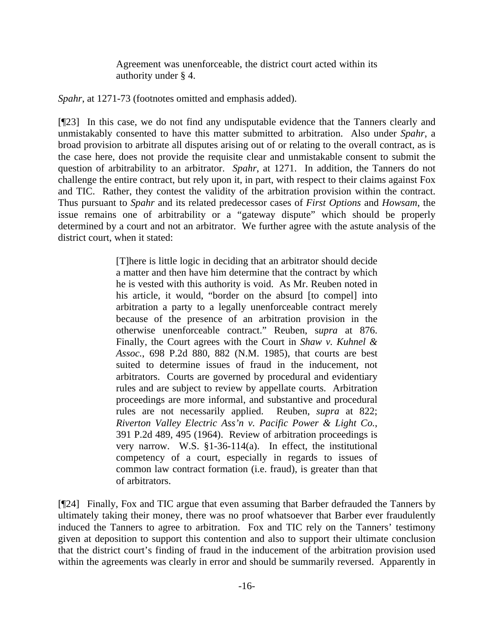Agreement was unenforceable, the district court acted within its authority under § 4.

*Spahr*, at 1271-73 (footnotes omitted and emphasis added).

[¶23] In this case, we do not find any undisputable evidence that the Tanners clearly and unmistakably consented to have this matter submitted to arbitration. Also under *Spahr*, a broad provision to arbitrate all disputes arising out of or relating to the overall contract, as is the case here, does not provide the requisite clear and unmistakable consent to submit the question of arbitrability to an arbitrator. *Spahr*, at 1271. In addition, the Tanners do not challenge the entire contract, but rely upon it, in part, with respect to their claims against Fox and TIC. Rather, they contest the validity of the arbitration provision within the contract. Thus pursuant to *Spahr* and its related predecessor cases of *First Options* and *Howsam*, the issue remains one of arbitrability or a "gateway dispute" which should be properly determined by a court and not an arbitrator. We further agree with the astute analysis of the district court, when it stated:

> [T]here is little logic in deciding that an arbitrator should decide a matter and then have him determine that the contract by which he is vested with this authority is void. As Mr. Reuben noted in his article, it would, "border on the absurd [to compel] into arbitration a party to a legally unenforceable contract merely because of the presence of an arbitration provision in the otherwise unenforceable contract." Reuben, s*upra* at 876. Finally, the Court agrees with the Court in *Shaw v. Kuhnel & Assoc.*, 698 P.2d 880, 882 (N.M. 1985), that courts are best suited to determine issues of fraud in the inducement, not arbitrators. Courts are governed by procedural and evidentiary rules and are subject to review by appellate courts. Arbitration proceedings are more informal, and substantive and procedural rules are not necessarily applied. Reuben, *supra* at 822; *Riverton Valley Electric Ass'n v. Pacific Power & Light Co.*, 391 P.2d 489, 495 (1964). Review of arbitration proceedings is very narrow. W.S. §1-36-114(a). In effect, the institutional competency of a court, especially in regards to issues of common law contract formation (i.e. fraud), is greater than that of arbitrators.

[¶24] Finally, Fox and TIC argue that even assuming that Barber defrauded the Tanners by ultimately taking their money, there was no proof whatsoever that Barber ever fraudulently induced the Tanners to agree to arbitration. Fox and TIC rely on the Tanners' testimony given at deposition to support this contention and also to support their ultimate conclusion that the district court's finding of fraud in the inducement of the arbitration provision used within the agreements was clearly in error and should be summarily reversed. Apparently in